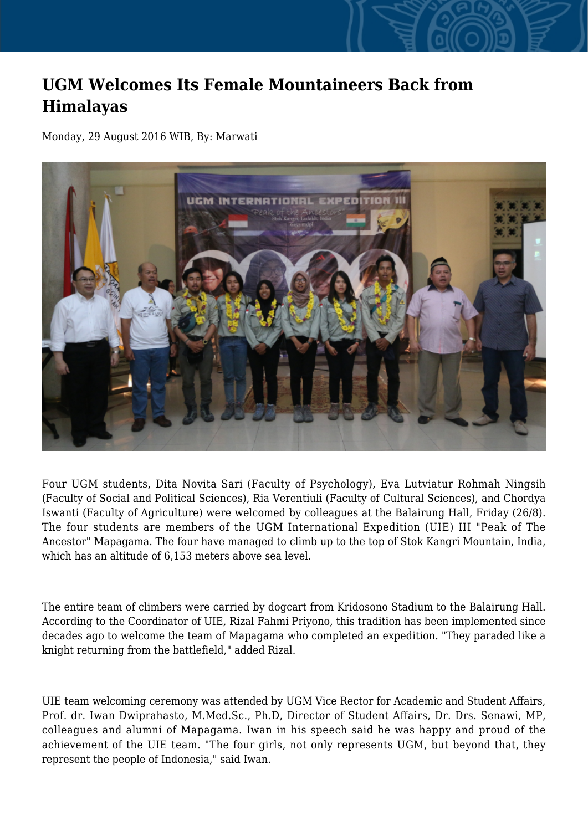## **UGM Welcomes Its Female Mountaineers Back from Himalayas**

Monday, 29 August 2016 WIB, By: Marwati



Four UGM students, Dita Novita Sari (Faculty of Psychology), Eva Lutviatur Rohmah Ningsih (Faculty of Social and Political Sciences), Ria Verentiuli (Faculty of Cultural Sciences), and Chordya Iswanti (Faculty of Agriculture) were welcomed by colleagues at the Balairung Hall, Friday (26/8). The four students are members of the UGM International Expedition (UIE) III "Peak of The Ancestor" Mapagama. The four have managed to climb up to the top of Stok Kangri Mountain, India, which has an altitude of 6,153 meters above sea level.

The entire team of climbers were carried by dogcart from Kridosono Stadium to the Balairung Hall. According to the Coordinator of UIE, Rizal Fahmi Priyono, this tradition has been implemented since decades ago to welcome the team of Mapagama who completed an expedition. "They paraded like a knight returning from the battlefield," added Rizal.

UIE team welcoming ceremony was attended by UGM Vice Rector for Academic and Student Affairs, Prof. dr. Iwan Dwiprahasto, M.Med.Sc., Ph.D, Director of Student Affairs, Dr. Drs. Senawi, MP, colleagues and alumni of Mapagama. Iwan in his speech said he was happy and proud of the achievement of the UIE team. "The four girls, not only represents UGM, but beyond that, they represent the people of Indonesia," said Iwan.